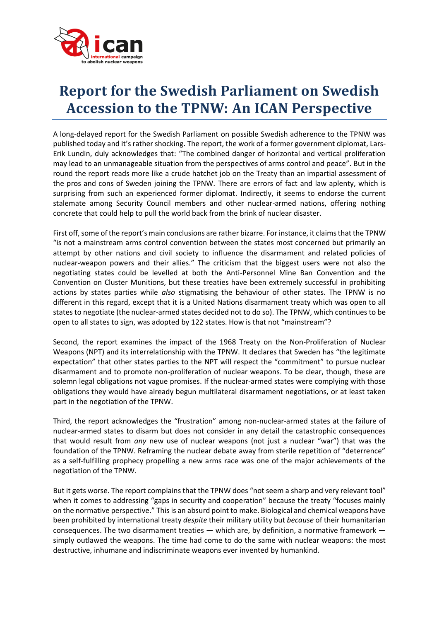

## **Report for the Swedish Parliament on Swedish Accession to the TPNW: An ICAN Perspective**

A long-delayed report for the Swedish Parliament on possible Swedish adherence to the TPNW was published today and it's rather shocking. The report, the work of a former government diplomat, Lars-Erik Lundin, duly acknowledges that: "The combined danger of horizontal and vertical proliferation may lead to an unmanageable situation from the perspectives of arms control and peace". But in the round the report reads more like a crude hatchet job on the Treaty than an impartial assessment of the pros and cons of Sweden joining the TPNW. There are errors of fact and law aplenty, which is surprising from such an experienced former diplomat. Indirectly, it seems to endorse the current stalemate among Security Council members and other nuclear-armed nations, offering nothing concrete that could help to pull the world back from the brink of nuclear disaster.

First off, some of the report's main conclusions are rather bizarre. For instance, it claims that the TPNW "is not a mainstream arms control convention between the states most concerned but primarily an attempt by other nations and civil society to influence the disarmament and related policies of nuclear-weapon powers and their allies." The criticism that the biggest users were not also the negotiating states could be levelled at both the Anti-Personnel Mine Ban Convention and the Convention on Cluster Munitions, but these treaties have been extremely successful in prohibiting actions by states parties while *also* stigmatising the behaviour of other states. The TPNW is no different in this regard, except that it is a United Nations disarmament treaty which was open to all states to negotiate (the nuclear-armed states decided not to do so). The TPNW, which continues to be open to all states to sign, was adopted by 122 states. How is that not "mainstream"?

Second, the report examines the impact of the 1968 Treaty on the Non-Proliferation of Nuclear Weapons (NPT) and its interrelationship with the TPNW. It declares that Sweden has "the legitimate expectation" that other states parties to the NPT will respect the "commitment" to pursue nuclear disarmament and to promote non-proliferation of nuclear weapons. To be clear, though, these are solemn legal obligations not vague promises. If the nuclear-armed states were complying with those obligations they would have already begun multilateral disarmament negotiations, or at least taken part in the negotiation of the TPNW.

Third, the report acknowledges the "frustration" among non-nuclear-armed states at the failure of nuclear-armed states to disarm but does not consider in any detail the catastrophic consequences that would result from *any* new use of nuclear weapons (not just a nuclear "war") that was the foundation of the TPNW. Reframing the nuclear debate away from sterile repetition of "deterrence" as a self-fulfilling prophecy propelling a new arms race was one of the major achievements of the negotiation of the TPNW.

But it gets worse. The report complains that the TPNW does "not seem a sharp and very relevant tool" when it comes to addressing "gaps in security and cooperation" because the treaty "focuses mainly on the normative perspective." This is an absurd point to make. Biological and chemical weapons have been prohibited by international treaty *despite* their military utility but *because* of their humanitarian consequences. The two disarmament treaties — which are, by definition, a normative framework simply outlawed the weapons. The time had come to do the same with nuclear weapons: the most destructive, inhumane and indiscriminate weapons ever invented by humankind.